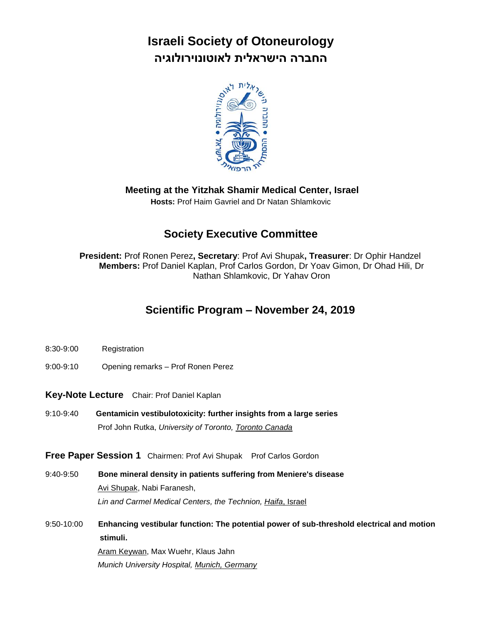# **Israeli Society of Otoneurology החברה הישראלית לאוטונוירולוגיה**



**Meeting at the Yitzhak Shamir Medical Center, Israel**

**Hosts:** Prof Haim Gavriel and Dr Natan Shlamkovic

### **Society Executive Committee**

**President:** Prof Ronen Perez**, Secretary**: Prof Avi Shupak**, Treasurer**: Dr Ophir Handzel **Members:** Prof Daniel Kaplan, Prof Carlos Gordon, Dr Yoav Gimon, Dr Ohad Hili, Dr Nathan Shlamkovic, Dr Yahav Oron

### **Scientific Program – November 24, 2019**

- 8:30-9:00 Registration
- 9:00-9:10 Opening remarks Prof Ronen Perez

**Key-Note Lecture** Chair: Prof Daniel Kaplan

9:10-9:40 **Gentamicin vestibulotoxicity: further insights from a large series** Prof John Rutka, *University of Toronto, Toronto Canada*

**Free Paper Session 1** Chairmen: Prof Avi Shupak Prof Carlos Gordon

- 9:40-9:50 **Bone mineral density in patients suffering from Meniere's disease** Avi Shupak, Nabi Faranesh, *Lin and Carmel Medical Centers, the Technion, Haifa*, Israel
- 9:50-10:00 **Enhancing vestibular function: The potential power of sub-threshold electrical and motion stimuli.** Aram Keywan, Max Wuehr, Klaus Jahn *Munich University Hospital, Munich, Germany*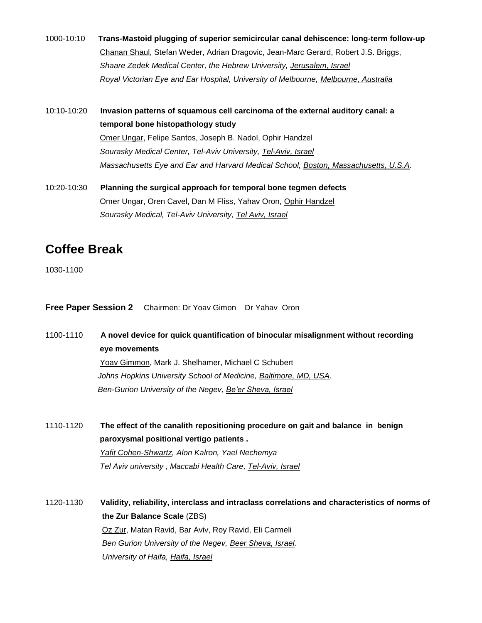- 1000-10:10 **Trans-Mastoid plugging of superior semicircular canal dehiscence: long-term follow-up** Chanan Shaul, Stefan Weder, Adrian Dragovic, Jean-Marc Gerard, Robert J.S. Briggs, *Shaare Zedek Medical Center, the Hebrew University, Jerusalem, Israel Royal Victorian Eye and Ear Hospital, University of Melbourne, Melbourne, Australia*
- 10:10-10:20 **Invasion patterns of squamous cell carcinoma of the external auditory canal: a temporal bone histopathology study** Omer Ungar, Felipe Santos, Joseph B. Nadol, Ophir Handzel *Sourasky Medical Center, Tel-Aviv University, Tel-Aviv, Israel Massachusetts Eye and Ear and Harvard Medical School, Boston, Massachusetts, U.S.A.*
- 10:20-10:30 **Planning the surgical approach for temporal bone tegmen defects** Omer Ungar, Oren Cavel, Dan M Fliss, Yahav Oron, Ophir Handzel *Sourasky Medical, Tel-Aviv University, Tel Aviv, Israel*

## **Coffee Break**

1030-1100

**Free Paper Session 2** Chairmen: Dr Yoav Gimon Dr Yahav Oron

1100-1110 **A novel device for quick quantification of binocular misalignment without recording eye movements** Yoav Gimmon, Mark J. Shelhamer, Michael C Schubert *Johns Hopkins University School of Medicine, Baltimore, MD, USA. Ben-Gurion University of the Negev, Be'er Sheva, Israel*

1110-1120 **The effect of the canalith repositioning procedure on gait and balance in benign paroxysmal positional vertigo patients .** *Yafit Cohen-Shwartz, Alon Kalron, Yael Nechemya Tel Aviv university , Maccabi Health Care, Tel-Aviv, Israel*

1120-1130 **Validity, reliability, interclass and intraclass correlations and characteristics of norms of the Zur Balance Scale** (ZBS) Oz Zur, Matan Ravid, Bar Aviv, Roy Ravid, Eli Carmeli *Ben Gurion University of the Negev, Beer Sheva, Israel. University of Haifa, Haifa, Israel*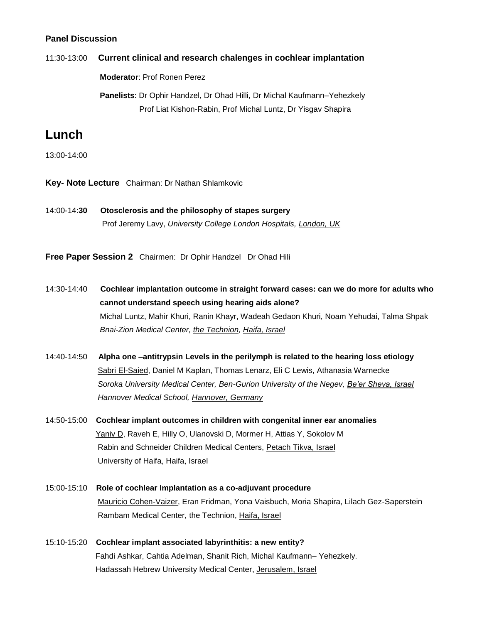### **Panel Discussion**

### 11:30-13:00 **Current clinical and research chalenges in cochlear implantation**

 **Moderator**: Prof Ronen Perez

 **Panelists**: Dr Ophir Handzel, Dr Ohad Hilli, Dr Michal Kaufmann–Yehezkely Prof Liat Kishon-Rabin, Prof Michal Luntz, Dr Yisgav Shapira

### **Lunch**

13:00-14:00

- **Key- Note Lecture** Chairman: Dr Nathan Shlamkovic
- 14:00-14:**30 Otosclerosis and the philosophy of stapes surgery** Prof Jeremy Lavy, *University College London Hospitals, London, UK*

**Free Paper Session 2** Chairmen: Dr Ophir Handzel Dr Ohad Hili

- 14:30-14:40 **Cochlear implantation outcome in straight forward cases: can we do more for adults who cannot understand speech using hearing aids alone?** Michal Luntz, Mahir Khuri, Ranin Khayr, Wadeah Gedaon Khuri, Noam Yehudai, Talma Shpak *Bnai-Zion Medical Center, the Technion, Haifa, Israel*
- 14:40-14:50 **Alpha one –antitrypsin Levels in the perilymph is related to the hearing loss etiology**  Sabri El-Saied, Daniel M Kaplan, Thomas Lenarz, Eli C Lewis, Athanasia Warnecke  *Soroka University Medical Center, Ben-Gurion University of the Negev, Be'er Sheva, Israel Hannover Medical School, Hannover, Germany*
- 14:50-15:00 **Cochlear implant outcomes in children with congenital inner ear anomalies** Yaniv D, Raveh E, Hilly O, Ulanovski D, Mormer H, Attias Y, Sokolov M Rabin and Schneider Children Medical Centers, Petach Tikva, Israel University of Haifa, Haifa, Israel
- 15:00-15:10 **Role of cochlear Implantation as a co-adjuvant procedure** Mauricio Cohen-Vaizer, Eran Fridman, Yona Vaisbuch, Moria Shapira, Lilach Gez-Saperstein Rambam Medical Center, the Technion, Haifa, Israel
- 15:10-15:20 **Cochlear implant associated labyrinthitis: a new entity?** Fahdi Ashkar, Cahtia Adelman, Shanit Rich, Michal Kaufmann– Yehezkely. Hadassah Hebrew University Medical Center, Jerusalem, Israel